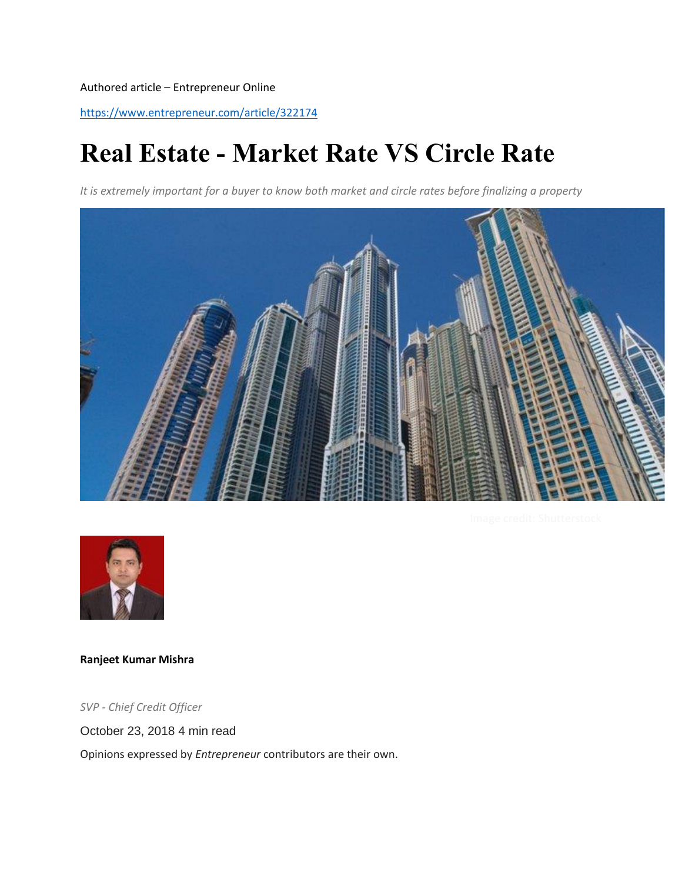Authored article – Entrepreneur Online

<https://www.entrepreneur.com/article/322174>

# **Real Estate - Market Rate VS Circle Rate**

*It is extremely important for a buyer to know both market and circle rates before finalizing a property*





**[Ranjeet Kumar Mishra](https://www.entrepreneur.com/author/ranjeet-kumar-mishra)**

*SVP - Chief Credit Officer*

October 23, 2018 4 min read

Opinions expressed by *Entrepreneur* contributors are their own.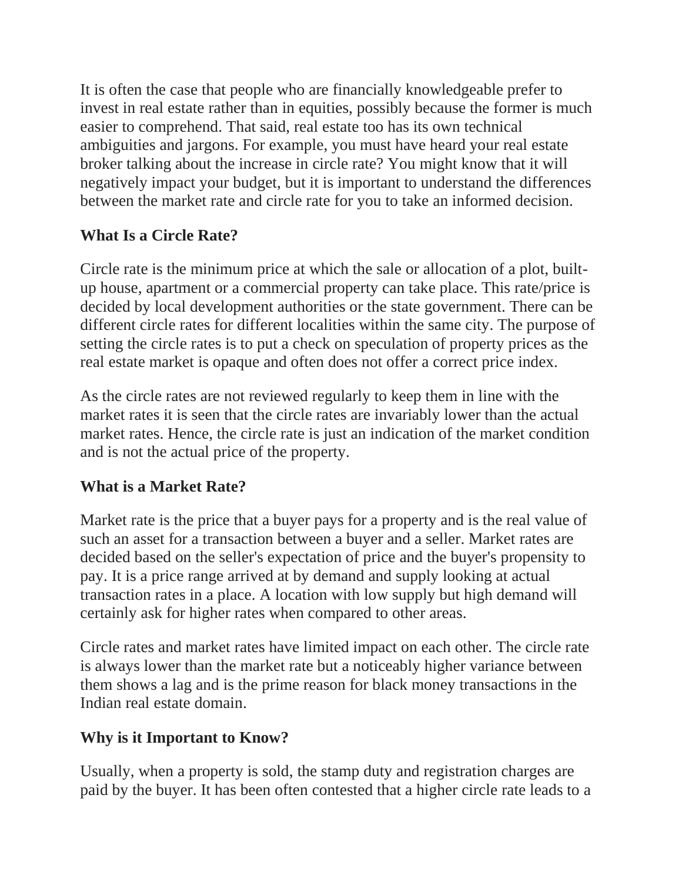It is often the case that people who are financially knowledgeable prefer to invest in real estate rather than in equities, possibly because the former is much easier to comprehend. That said, real estate too has its own technical ambiguities and jargons. For example, you must have heard your real estate broker talking about the increase in circle rate? You might know that it will negatively impact your budget, but it is important to understand the differences between the market rate and circle rate for you to take an informed decision.

## **What Is a Circle Rate?**

Circle rate is the minimum price at which the sale or allocation of a plot, builtup house, apartment or a commercial property can take place. This rate/price is decided by local development authorities or the state government. There can be different circle rates for different localities within the same city. The purpose of setting the circle rates is to put a check on speculation of property prices as the real estate market is opaque and often does not offer a correct price index.

As the circle rates are not reviewed regularly to keep them in line with the market rates it is seen that the circle rates are invariably lower than the actual market rates. Hence, the circle rate is just an indication of the market condition and is not the actual price of the property.

### **What is a Market Rate?**

Market rate is the price that a buyer pays for a property and is the real value of such an asset for a transaction between a buyer and a seller. Market rates are decided based on the seller's expectation of price and the buyer's propensity to pay. It is a price range arrived at by demand and supply looking at actual transaction rates in a place. A location with low supply but high demand will certainly ask for higher rates when compared to other areas.

Circle rates and market rates have limited impact on each other. The circle rate is always lower than the market rate but a noticeably higher variance between them shows a lag and is the prime reason for black money transactions in the Indian real estate domain.

### **Why is it Important to Know?**

Usually, when a property is sold, the stamp duty and registration charges are paid by the buyer. It has been often contested that a higher circle rate leads to a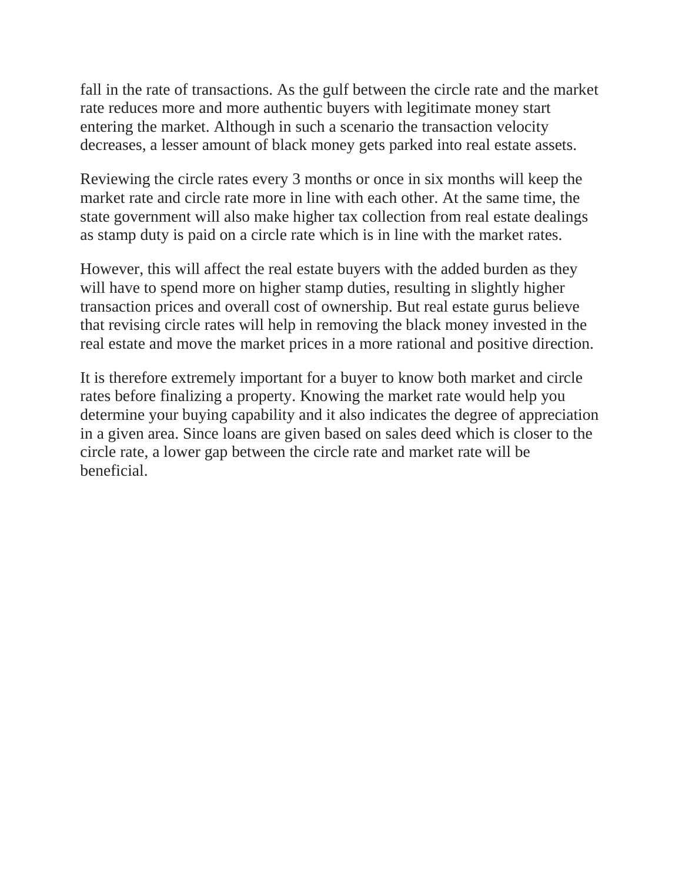fall in the rate of transactions. As the gulf between the circle rate and the market rate reduces more and more authentic buyers with legitimate money start entering the market. Although in such a scenario the transaction velocity decreases, a lesser amount of black money gets parked into real estate assets.

Reviewing the circle rates every 3 months or once in six months will keep the market rate and circle rate more in line with each other. At the same time, the state government will also make higher tax collection from real estate dealings as stamp duty is paid on a circle rate which is in line with the market rates.

However, this will affect the real estate buyers with the added burden as they will have to spend more on higher stamp duties, resulting in slightly higher transaction prices and overall cost of ownership. But real estate gurus believe that revising circle rates will help in removing the black money invested in the real estate and move the market prices in a more rational and positive direction.

It is therefore extremely important for a buyer to know both market and circle rates before finalizing a property. Knowing the market rate would help you determine your buying capability and it also indicates the degree of appreciation in a given area. Since loans are given based on sales deed which is closer to the circle rate, a lower gap between the circle rate and market rate will be beneficial.